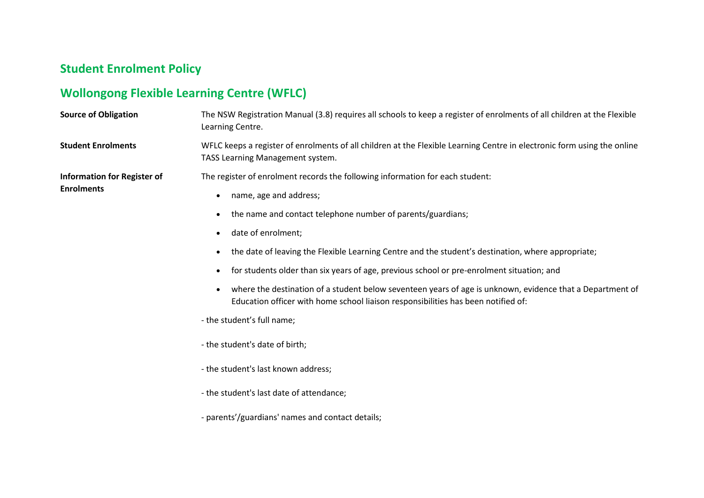## **Student Enrolment Policy**

## **Wollongong Flexible Learning Centre (WFLC)**

| <b>Source of Obligation</b>                             | The NSW Registration Manual (3.8) requires all schools to keep a register of enrolments of all children at the Flexible<br>Learning Centre.                                                                                                                                                                                                                                                                                                       |
|---------------------------------------------------------|---------------------------------------------------------------------------------------------------------------------------------------------------------------------------------------------------------------------------------------------------------------------------------------------------------------------------------------------------------------------------------------------------------------------------------------------------|
| <b>Student Enrolments</b>                               | WFLC keeps a register of enrolments of all children at the Flexible Learning Centre in electronic form using the online<br>TASS Learning Management system.                                                                                                                                                                                                                                                                                       |
| <b>Information for Register of</b><br><b>Enrolments</b> | The register of enrolment records the following information for each student:<br>name, age and address;<br>the name and contact telephone number of parents/guardians;<br>$\bullet$                                                                                                                                                                                                                                                               |
|                                                         | date of enrolment;<br>$\bullet$<br>the date of leaving the Flexible Learning Centre and the student's destination, where appropriate;<br>for students older than six years of age, previous school or pre-enrolment situation; and<br>where the destination of a student below seventeen years of age is unknown, evidence that a Department of<br>$\bullet$<br>Education officer with home school liaison responsibilities has been notified of: |
|                                                         | - the student's full name;<br>- the student's date of birth;<br>- the student's last known address;<br>- the student's last date of attendance;<br>- parents'/guardians' names and contact details;                                                                                                                                                                                                                                               |